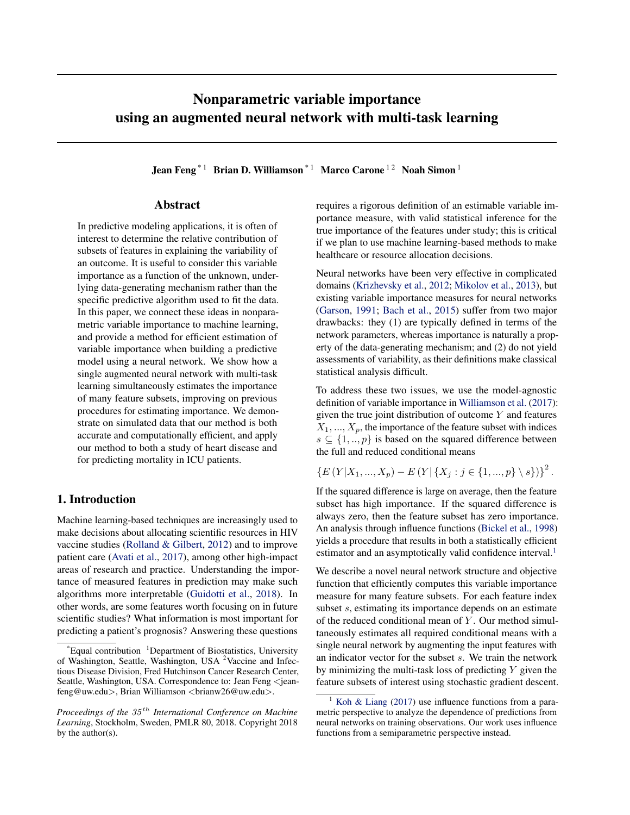# <span id="page-0-0"></span>Nonparametric variable importance using an augmented neural network with multi-task learning

Jean Feng<sup>\*1</sup> Brian D. Williamson<sup>\*1</sup> Marco Carone<sup>12</sup> Noah Simon<sup>1</sup>

# Abstract

In predictive modeling applications, it is often of interest to determine the relative contribution of subsets of features in explaining the variability of an outcome. It is useful to consider this variable importance as a function of the unknown, underlying data-generating mechanism rather than the specific predictive algorithm used to fit the data. In this paper, we connect these ideas in nonparametric variable importance to machine learning, and provide a method for efficient estimation of variable importance when building a predictive model using a neural network. We show how a single augmented neural network with multi-task learning simultaneously estimates the importance of many feature subsets, improving on previous procedures for estimating importance. We demonstrate on simulated data that our method is both accurate and computationally efficient, and apply our method to both a study of heart disease and for predicting mortality in ICU patients.

# 1. Introduction

Machine learning-based techniques are increasingly used to make decisions about allocating scientific resources in HIV vaccine studies [\(Rolland & Gilbert,](#page-9-0) [2012\)](#page-9-0) and to improve patient care [\(Avati et al.,](#page-8-0) [2017\)](#page-8-0), among other high-impact areas of research and practice. Understanding the importance of measured features in prediction may make such algorithms more interpretable [\(Guidotti et al.,](#page-8-0) [2018\)](#page-8-0). In other words, are some features worth focusing on in future scientific studies? What information is most important for predicting a patient's prognosis? Answering these questions

requires a rigorous definition of an estimable variable importance measure, with valid statistical inference for the true importance of the features under study; this is critical if we plan to use machine learning-based methods to make healthcare or resource allocation decisions.

Neural networks have been very effective in complicated domains [\(Krizhevsky et al.,](#page-8-0) [2012;](#page-8-0) [Mikolov et al.,](#page-9-0) [2013\)](#page-9-0), but existing variable importance measures for neural networks [\(Garson,](#page-8-0) [1991;](#page-8-0) [Bach et al.,](#page-8-0) [2015\)](#page-8-0) suffer from two major drawbacks: they (1) are typically defined in terms of the network parameters, whereas importance is naturally a property of the data-generating mechanism; and (2) do not yield assessments of variability, as their definitions make classical statistical analysis difficult.

To address these two issues, we use the model-agnostic definition of variable importance in [Williamson et al.](#page-9-0) [\(2017\)](#page-9-0): given the true joint distribution of outcome  $Y$  and features  $X_1, \ldots, X_p$ , the importance of the feature subset with indices  $s \subseteq \{1,..,p\}$  is based on the squared difference between the full and reduced conditional means

$$
\{E(Y|X_1, ..., X_p) - E(Y| \{X_j : j \in \{1, ..., p\} \setminus s\})\}^2.
$$

If the squared difference is large on average, then the feature subset has high importance. If the squared difference is always zero, then the feature subset has zero importance. An analysis through influence functions [\(Bickel et al.,](#page-8-0) [1998\)](#page-8-0) yields a procedure that results in both a statistically efficient estimator and an asymptotically valid confidence interval.<sup>1</sup>

We describe a novel neural network structure and objective function that efficiently computes this variable importance measure for many feature subsets. For each feature index subset s, estimating its importance depends on an estimate of the reduced conditional mean of  $Y$ . Our method simultaneously estimates all required conditional means with a single neural network by augmenting the input features with an indicator vector for the subset  $s$ . We train the network by minimizing the multi-task loss of predicting  $Y$  given the feature subsets of interest using stochastic gradient descent.

 $^{\dagger}$ Equal contribution  $^{\dagger}$ Department of Biostatistics, University of Washington, Seattle, Washington, USA <sup>2</sup>Vaccine and Infectious Disease Division, Fred Hutchinson Cancer Research Center, Seattle, Washington, USA. Correspondence to: Jean Feng <jeanfeng@uw.edu>, Brian Williamson <brianw26@uw.edu>.

*Proceedings of the* 35 th *International Conference on Machine Learning*, Stockholm, Sweden, PMLR 80, 2018. Copyright 2018 by the author(s).

[Koh & Liang](#page-8-0) [\(2017\)](#page-8-0) use influence functions from a parametric perspective to analyze the dependence of predictions from neural networks on training observations. Our work uses influence functions from a semiparametric perspective instead.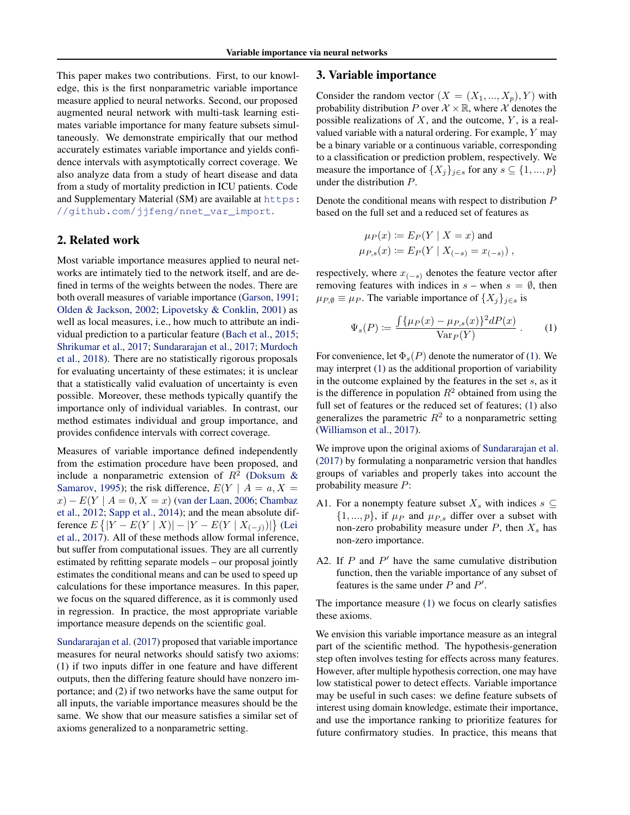<span id="page-1-0"></span>This paper makes two contributions. First, to our knowledge, this is the first nonparametric variable importance measure applied to neural networks. Second, our proposed augmented neural network with multi-task learning estimates variable importance for many feature subsets simultaneously. We demonstrate empirically that our method accurately estimates variable importance and yields confidence intervals with asymptotically correct coverage. We also analyze data from a study of heart disease and data from a study of mortality prediction in ICU patients. Code and Supplementary Material (SM) are available at [https:](https://github.com/jjfeng/nnet_var_import) [//github.com/jjfeng/nnet\\_var\\_import](https://github.com/jjfeng/nnet_var_import).

# 2. Related work

Most variable importance measures applied to neural networks are intimately tied to the network itself, and are defined in terms of the weights between the nodes. There are both overall measures of variable importance [\(Garson,](#page-8-0) [1991;](#page-8-0) [Olden & Jackson,](#page-9-0) [2002;](#page-9-0) [Lipovetsky & Conklin,](#page-9-0) [2001\)](#page-9-0) as well as local measures, i.e., how much to attribute an individual prediction to a particular feature [\(Bach et al.,](#page-8-0) [2015;](#page-8-0) [Shrikumar et al.,](#page-9-0) [2017;](#page-9-0) [Sundararajan et al.,](#page-9-0) [2017;](#page-9-0) [Murdoch](#page-9-0) [et al.,](#page-9-0) [2018\)](#page-9-0). There are no statistically rigorous proposals for evaluating uncertainty of these estimates; it is unclear that a statistically valid evaluation of uncertainty is even possible. Moreover, these methods typically quantify the importance only of individual variables. In contrast, our method estimates individual and group importance, and provides confidence intervals with correct coverage.

Measures of variable importance defined independently from the estimation procedure have been proposed, and include a nonparametric extension of  $R^2$  [\(Doksum &](#page-8-0) [Samarov,](#page-8-0) [1995\)](#page-8-0); the risk difference,  $E(Y \mid A = a, X = a)$  $x - E(Y \mid A = 0, X = x)$  [\(van der Laan,](#page-9-0) [2006;](#page-9-0) [Chambaz](#page-8-0) [et al.,](#page-8-0) [2012;](#page-8-0) [Sapp et al.,](#page-9-0) [2014\)](#page-9-0); and the mean absolute difference  $E\left\{ |Y - E(Y | X)| - |Y - E(Y | X_{(-j)})| \right\}$  [\(Lei](#page-8-0) [et al.,](#page-8-0) [2017\)](#page-8-0). All of these methods allow formal inference, but suffer from computational issues. They are all currently estimated by refitting separate models – our proposal jointly estimates the conditional means and can be used to speed up calculations for these importance measures. In this paper, we focus on the squared difference, as it is commonly used in regression. In practice, the most appropriate variable importance measure depends on the scientific goal.

[Sundararajan et al.](#page-9-0) [\(2017\)](#page-9-0) proposed that variable importance measures for neural networks should satisfy two axioms: (1) if two inputs differ in one feature and have different outputs, then the differing feature should have nonzero importance; and (2) if two networks have the same output for all inputs, the variable importance measures should be the same. We show that our measure satisfies a similar set of axioms generalized to a nonparametric setting.

### 3. Variable importance

Consider the random vector  $(X = (X_1, ..., X_p), Y)$  with probability distribution P over  $\mathcal{X} \times \mathbb{R}$ , where X denotes the possible realizations of  $X$ , and the outcome,  $Y$ , is a realvalued variable with a natural ordering. For example, Y may be a binary variable or a continuous variable, corresponding to a classification or prediction problem, respectively. We measure the importance of  $\{X_j\}_{j\in s}$  for any  $s \subseteq \{1, ..., p\}$ under the distribution P.

Denote the conditional means with respect to distribution P based on the full set and a reduced set of features as

$$
\mu_P(x) := E_P(Y | X = x)
$$
 and  
\n $\mu_{P,s}(x) := E_P(Y | X_{(-s)} = x_{(-s)})$ ,

respectively, where  $x_{(-s)}$  denotes the feature vector after removing features with indices in  $s$  – when  $s = \emptyset$ , then  $\mu_{P,\emptyset} \equiv \mu_P$ . The variable importance of  $\{X_j\}_{j \in \mathcal{S}}$  is

$$
\Psi_s(P) := \frac{\int \{\mu_P(x) - \mu_{P,s}(x)\}^2 dP(x)}{\text{Var}_P(Y)}.
$$
 (1)

For convenience, let  $\Phi_s(P)$  denote the numerator of (1). We may interpret (1) as the additional proportion of variability in the outcome explained by the features in the set  $s$ , as it is the difference in population  $R^2$  obtained from using the full set of features or the reduced set of features; (1) also generalizes the parametric  $R^2$  to a nonparametric setting [\(Williamson et al.,](#page-9-0) [2017\)](#page-9-0).

We improve upon the original axioms of [Sundararajan et al.](#page-9-0) [\(2017\)](#page-9-0) by formulating a nonparametric version that handles groups of variables and properly takes into account the probability measure P:

- A1. For a nonempty feature subset  $X_s$  with indices  $s \subseteq$  $\{1, ..., p\}$ , if  $\mu_P$  and  $\mu_{P,s}$  differ over a subset with non-zero probability measure under  $P$ , then  $X_s$  has non-zero importance.
- A2. If  $P$  and  $P'$  have the same cumulative distribution function, then the variable importance of any subset of features is the same under  $P$  and  $P'$ .

The importance measure (1) we focus on clearly satisfies these axioms.

We envision this variable importance measure as an integral part of the scientific method. The hypothesis-generation step often involves testing for effects across many features. However, after multiple hypothesis correction, one may have low statistical power to detect effects. Variable importance may be useful in such cases: we define feature subsets of interest using domain knowledge, estimate their importance, and use the importance ranking to prioritize features for future confirmatory studies. In practice, this means that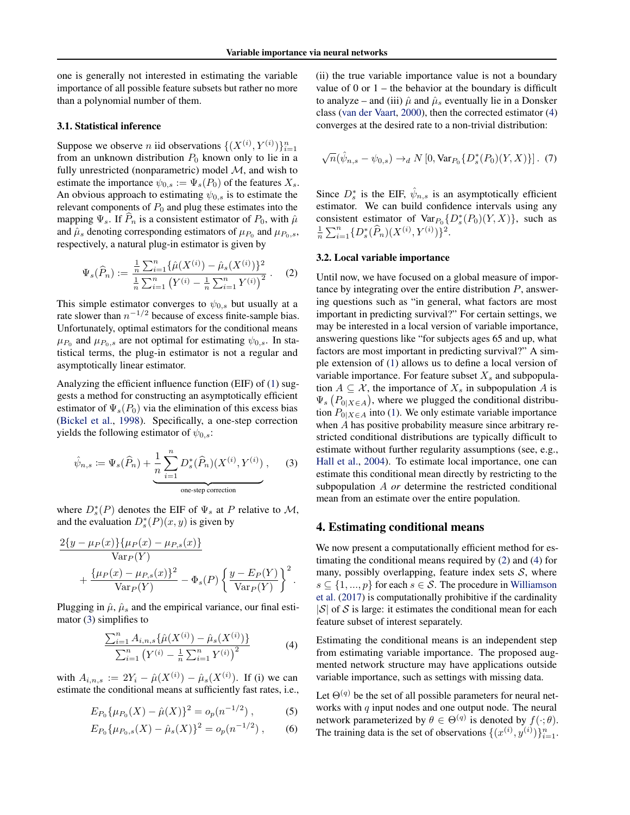<span id="page-2-0"></span>one is generally not interested in estimating the variable importance of all possible feature subsets but rather no more than a polynomial number of them.

## 3.1. Statistical inference

Suppose we observe *n* iid observations  $\{(X^{(i)}, Y^{(i)})\}_{i=1}^n$ from an unknown distribution  $P_0$  known only to lie in a fully unrestricted (nonparametric) model  $M$ , and wish to estimate the importance  $\psi_{0,s} := \Psi_s(P_0)$  of the features  $X_s$ . An obvious approach to estimating  $\psi_{0,s}$  is to estimate the relevant components of  $P_0$  and plug these estimates into the mapping  $\Psi_s$ . If  $P_n$  is a consistent estimator of  $P_0$ , with  $\hat{\mu}$ and  $\hat{\mu}_s$  denoting corresponding estimators of  $\mu_{P_0}$  and  $\mu_{P_0,s}$ , respectively, a natural plug-in estimator is given by

$$
\Psi_s(\widehat{P}_n) := \frac{\frac{1}{n} \sum_{i=1}^n \{ \widehat{\mu}(X^{(i)}) - \widehat{\mu}_s(X^{(i)}) \}^2}{\frac{1}{n} \sum_{i=1}^n \left( Y^{(i)} - \frac{1}{n} \sum_{i=1}^n Y^{(i)} \right)^2} .
$$
 (2)

This simple estimator converges to  $\psi_{0,s}$  but usually at a rate slower than  $n^{-1/2}$  because of excess finite-sample bias. Unfortunately, optimal estimators for the conditional means  $\mu_{P_0}$  and  $\mu_{P_0,s}$  are not optimal for estimating  $\psi_{0,s}$ . In statistical terms, the plug-in estimator is not a regular and asymptotically linear estimator.

Analyzing the efficient influence function (EIF) of [\(1\)](#page-1-0) suggests a method for constructing an asymptotically efficient estimator of  $\Psi_s(P_0)$  via the elimination of this excess bias [\(Bickel et al.,](#page-8-0) [1998\)](#page-8-0). Specifically, a one-step correction yields the following estimator of  $\psi_{0,s}$ :

$$
\hat{\psi}_{n,s} := \Psi_s(\widehat{P}_n) + \underbrace{\frac{1}{n} \sum_{i=1}^n D_s^*(\widehat{P}_n)(X^{(i)}, Y^{(i)})}_{\text{one-step correction}}, \quad (3)
$$

where  $D_s^*(P)$  denotes the EIF of  $\Psi_s$  at P relative to M, and the evaluation  $D_s^*(P)(x, y)$  is given by

$$
\frac{2\{y - \mu_P(x)\}\{\mu_P(x) - \mu_{P,s}(x)\}}{\text{Var}_P(Y)} + \frac{\{\mu_P(x) - \mu_{P,s}(x)\}^2}{\text{Var}_P(Y)} - \Phi_s(P) \left\{\frac{y - E_P(Y)}{\text{Var}_P(Y)}\right\}^2.
$$

Plugging in  $\hat{\mu}$ ,  $\hat{\mu}_s$  and the empirical variance, our final estimator (3) simplifies to

$$
\frac{\sum_{i=1}^{n} A_{i,n,s} \{\hat{\mu}(X^{(i)}) - \hat{\mu}_s(X^{(i)})\}}{\sum_{i=1}^{n} (Y^{(i)} - \frac{1}{n} \sum_{i=1}^{n} Y^{(i)})^2}
$$
(4)

with  $A_{i,n,s} := 2Y_i - \hat{\mu}(X^{(i)}) - \hat{\mu}_s(X^{(i)})$ . If (i) we can estimate the conditional means at sufficiently fast rates, i.e.,

$$
E_{P_0}\{\mu_{P_0}(X) - \hat{\mu}(X)\}^2 = o_p(n^{-1/2}),\tag{5}
$$

$$
E_{P_0}\{\mu_{P_0,s}(X) - \hat{\mu}_s(X)\}^2 = o_p(n^{-1/2}),\qquad(6)
$$

(ii) the true variable importance value is not a boundary value of 0 or  $1$  – the behavior at the boundary is difficult to analyze – and (iii)  $\hat{\mu}$  and  $\hat{\mu}_s$  eventually lie in a Donsker class [\(van der Vaart,](#page-9-0) [2000\)](#page-9-0), then the corrected estimator (4) converges at the desired rate to a non-trivial distribution:

$$
\sqrt{n}(\hat{\psi}_{n,s} - \psi_{0,s}) \to_d N[0, \text{Var}_{P_0}\{D_s^*(P_0)(Y,X)\}].
$$
 (7)

Since  $D_s^*$  is the EIF,  $\hat{\psi}_{n,s}$  is an asymptotically efficient estimator. We can build confidence intervals using any consistent estimator of  $Var_{P_0} \{D_s^*(P_0)(Y,X)\}$ , such as  $\frac{1}{n}\sum_{i=1}^{n} \{D_s^*(\widehat{P}_n)(X^{(i)}, Y^{(i)})\}^2.$ 

## 3.2. Local variable importance

Until now, we have focused on a global measure of importance by integrating over the entire distribution  $P$ , answering questions such as "in general, what factors are most important in predicting survival?" For certain settings, we may be interested in a local version of variable importance, answering questions like "for subjects ages 65 and up, what factors are most important in predicting survival?" A simple extension of [\(1\)](#page-1-0) allows us to define a local version of variable importance. For feature subset  $X_s$  and subpopulation  $A \subseteq \mathcal{X}$ , the importance of  $X_s$  in subpopulation A is  $\Psi_s(P_{0|X \in A})$ , where we plugged the conditional distribution  $P_{0|X\in A}$  into [\(1\)](#page-1-0). We only estimate variable importance when A has positive probability measure since arbitrary restricted conditional distributions are typically difficult to estimate without further regularity assumptions (see, e.g., [Hall et al.,](#page-8-0) [2004\)](#page-8-0). To estimate local importance, one can estimate this conditional mean directly by restricting to the subpopulation A *or* determine the restricted conditional mean from an estimate over the entire population.

## 4. Estimating conditional means

We now present a computationally efficient method for estimating the conditional means required by (2) and (4) for many, possibly overlapping, feature index sets  $S$ , where  $s \in \{1, ..., p\}$  for each  $s \in S$ . The procedure in [Williamson](#page-9-0) [et al.](#page-9-0) [\(2017\)](#page-9-0) is computationally prohibitive if the cardinality  $|S|$  of S is large: it estimates the conditional mean for each feature subset of interest separately.

Estimating the conditional means is an independent step from estimating variable importance. The proposed augmented network structure may have applications outside variable importance, such as settings with missing data.

Let  $\Theta^{(q)}$  be the set of all possible parameters for neural networks with  $q$  input nodes and one output node. The neural network parameterized by  $\theta \in \Theta^{(q)}$  is denoted by  $f(\cdot; \theta)$ . The training data is the set of observations  $\{(x^{(i)}, y^{(i)})\}_{i=1}^n$ .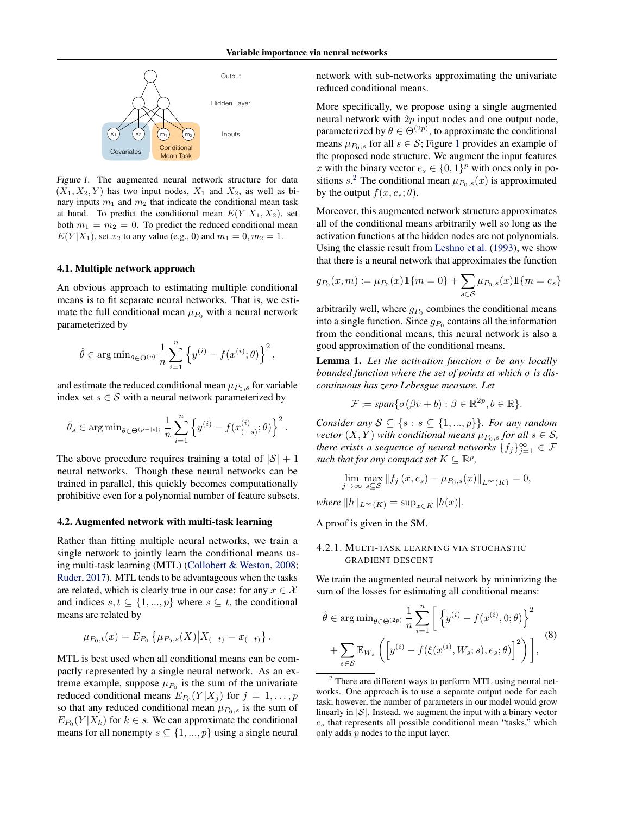<span id="page-3-0"></span>

Figure 1. The augmented neural network structure for data  $(X_1, X_2, Y)$  has two input nodes,  $X_1$  and  $X_2$ , as well as binary inputs  $m_1$  and  $m_2$  that indicate the conditional mean task at hand. To predict the conditional mean  $E(Y|X_1, X_2)$ , set both  $m_1 = m_2 = 0$ . To predict the reduced conditional mean  $E(Y|X_1)$ , set  $x_2$  to any value (e.g., 0) and  $m_1 = 0, m_2 = 1$ .

#### 4.1. Multiple network approach

An obvious approach to estimating multiple conditional means is to fit separate neural networks. That is, we estimate the full conditional mean  $\mu_{P_0}$  with a neural network parameterized by

$$
\hat{\theta} \in \arg\min_{\theta \in \Theta^{(p)}} \frac{1}{n} \sum_{i=1}^n \left\{ y^{(i)} - f(x^{(i)}; \theta) \right\}^2,
$$

and estimate the reduced conditional mean  $\mu_{P_0,s}$  for variable index set  $s \in S$  with a neural network parameterized by

$$
\hat{\theta}_s \in \mathop{\arg\min}_{\theta \in \Theta^{(p-|s|)}} \frac{1}{n} \sum_{i=1}^n \left\{y^{(i)} - f(x_{(-s)}^{(i)}; \theta)\right\}^2.
$$

The above procedure requires training a total of  $|S| + 1$ neural networks. Though these neural networks can be trained in parallel, this quickly becomes computationally prohibitive even for a polynomial number of feature subsets.

#### 4.2. Augmented network with multi-task learning

Rather than fitting multiple neural networks, we train a single network to jointly learn the conditional means using multi-task learning (MTL) [\(Collobert & Weston,](#page-8-0) [2008;](#page-8-0) [Ruder,](#page-9-0) [2017\)](#page-9-0). MTL tends to be advantageous when the tasks are related, which is clearly true in our case: for any  $x \in \mathcal{X}$ and indices  $s, t \subseteq \{1, ..., p\}$  where  $s \subseteq t$ , the conditional means are related by

$$
\mu_{P_0,t}(x) = E_{P_0} \left\{ \mu_{P_0,s}(X) \middle| X_{(-t)} = x_{(-t)} \right\}.
$$

MTL is best used when all conditional means can be compactly represented by a single neural network. As an extreme example, suppose  $\mu_{P_0}$  is the sum of the univariate reduced conditional means  $E_{P_0}(Y|X_j)$  for  $j = 1, \ldots, p$ so that any reduced conditional mean  $\mu_{P_0,s}$  is the sum of  $E_{P_0}(Y|X_k)$  for  $k \in s$ . We can approximate the conditional means for all nonempty  $s \subseteq \{1, ..., p\}$  using a single neural

network with sub-networks approximating the univariate reduced conditional means.

More specifically, we propose using a single augmented neural network with  $2p$  input nodes and one output node, parameterized by  $\theta \in \Theta^{(2p)}$ , to approximate the conditional means  $\mu_{P_0,s}$  for all  $s \in S$ ; Figure 1 provides an example of the proposed node structure. We augment the input features x with the binary vector  $e_s \in \{0, 1\}^p$  with ones only in positions  $s^2$ . The conditional mean  $\mu_{P_0,s}(x)$  is approximated by the output  $f(x, e_s; \theta)$ .

Moreover, this augmented network structure approximates all of the conditional means arbitrarily well so long as the activation functions at the hidden nodes are not polynomials. Using the classic result from [Leshno et al.](#page-8-0) [\(1993\)](#page-8-0), we show that there is a neural network that approximates the function

$$
g_{P_0}(x, m) := \mu_{P_0}(x) \mathbb{1}\{m = 0\} + \sum_{s \in S} \mu_{P_0, s}(x) \mathbb{1}\{m = e_s\}
$$

arbitrarily well, where  $g_{P_0}$  combines the conditional means into a single function. Since  $g_{P_0}$  contains all the information from the conditional means, this neural network is also a good approximation of the conditional means.

Lemma 1. *Let the activation function* σ *be any locally bounded function where the set of points at which* σ *is discontinuous has zero Lebesgue measure. Let*

$$
\mathcal{F} := \text{span}\{\sigma(\beta v + b) : \beta \in \mathbb{R}^{2p}, b \in \mathbb{R}\}.
$$

*Consider any*  $S \subseteq \{s : s \subseteq \{1, ..., p\}\}$ *. For any random vector*  $(X, Y)$  *with conditional means*  $\mu_{P_0,s}$  *for all*  $s \in S$ *, there exists a sequence of neural networks*  $\{f_j\}_{j=1}^{\infty} \in \mathcal{F}$ *such that for any compact set*  $K \subseteq \mathbb{R}^p$ ,

$$
\lim_{j \to \infty} \max_{s \subseteq \mathcal{S}} \|f_j(x, e_s) - \mu_{P_0, s}(x)\|_{L^{\infty}(K)} = 0,
$$

*where*  $||h||_{L^{\infty}(K)} = \sup_{x \in K} |h(x)|$ *.* 

A proof is given in the SM.

## 4.2.1. MULTI-TASK LEARNING VIA STOCHASTIC GRADIENT DESCENT

We train the augmented neural network by minimizing the sum of the losses for estimating all conditional means:

$$
\hat{\theta} \in \arg\min_{\theta \in \Theta^{(2p)}} \frac{1}{n} \sum_{i=1}^n \left[ \left\{ y^{(i)} - f(x^{(i)}, 0; \theta) \right\}^2 + \sum_{s \in \mathcal{S}} \mathbb{E}_{W_s} \left( \left[ y^{(i)} - f(\xi(x^{(i)}, W_s; s), e_s; \theta) \right]^2 \right) \right],
$$
\n(8)

<sup>&</sup>lt;sup>2</sup> There are different ways to perform MTL using neural networks. One approach is to use a separate output node for each task; however, the number of parameters in our model would grow linearly in  $|S|$ . Instead, we augment the input with a binary vector  $e<sub>s</sub>$  that represents all possible conditional mean "tasks," which only adds p nodes to the input layer.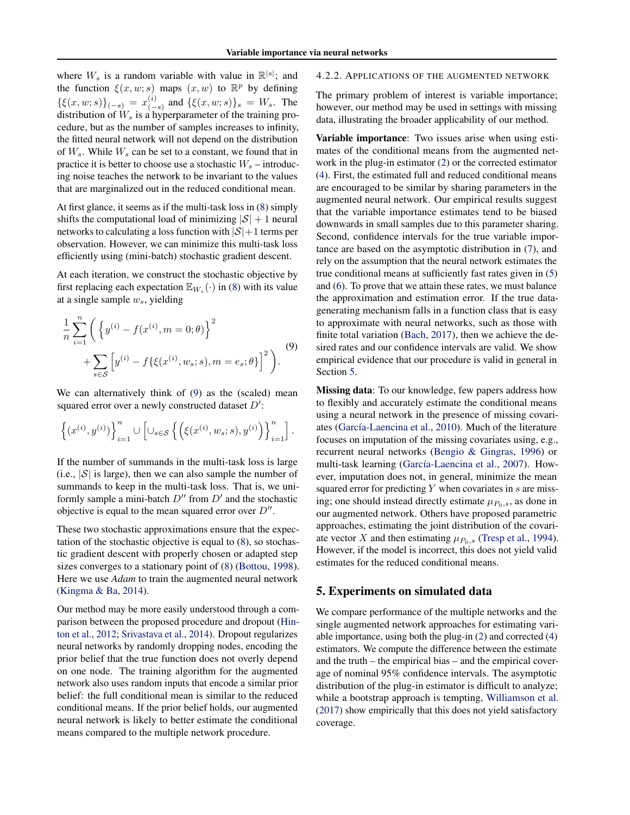where  $W_s$  is a random variable with value in  $\mathbb{R}^{|s|}$ ; and the function  $\xi(x, w; s)$  maps  $(x, w)$  to  $\mathbb{R}^p$  by defining  $\{\xi(x, w; s)\}_{(-s)} = x_{(-s)}^{(i)}$  $\binom{v}{(-s)}$  and  $\{\xi(x, w; s)\}_s = W_s$ . The distribution of  $W_s$  is a hyperparameter of the training procedure, but as the number of samples increases to infinity, the fitted neural network will not depend on the distribution of  $W_s$ . While  $W_s$  can be set to a constant, we found that in practice it is better to choose use a stochastic  $W_s$  – introducing noise teaches the network to be invariant to the values that are marginalized out in the reduced conditional mean.

At first glance, it seems as if the multi-task loss in [\(8\)](#page-3-0) simply shifts the computational load of minimizing  $|S| + 1$  neural networks to calculating a loss function with  $|S|+1$  terms per observation. However, we can minimize this multi-task loss efficiently using (mini-batch) stochastic gradient descent.

At each iteration, we construct the stochastic objective by first replacing each expectation  $\mathbb{E}_{W_s}(\cdot)$  in [\(8\)](#page-3-0) with its value at a single sample  $w_s$ , yielding

$$
\frac{1}{n} \sum_{i=1}^{n} \left( \left\{ y^{(i)} - f(x^{(i)}, m = 0; \theta) \right\}^{2} + \sum_{s \in \mathcal{S}} \left[ y^{(i)} - f\{\xi(x^{(i)}, w_s; s), m = e_s; \theta\} \right]^{2} \right).
$$
\n(9)

We can alternatively think of (9) as the (scaled) mean squared error over a newly constructed dataset  $D'$ :

$$
\left\{\left(x^{(i)},y^{(i)}\right)\right\}_{i=1}^n \cup \left[\cup_{s\in\mathcal{S}}\left\{\left(\xi(x^{(i)},w_s;s),y^{(i)}\right)\right\}_{i=1}^n\right].
$$

If the number of summands in the multi-task loss is large (i.e.,  $|\mathcal{S}|$  is large), then we can also sample the number of summands to keep in the multi-task loss. That is, we uniformly sample a mini-batch  $D''$  from  $D'$  and the stochastic objective is equal to the mean squared error over  $D''$ .

These two stochastic approximations ensure that the expectation of the stochastic objective is equal to [\(8\)](#page-3-0), so stochastic gradient descent with properly chosen or adapted step sizes converges to a stationary point of [\(8\)](#page-3-0) [\(Bottou,](#page-8-0) [1998\)](#page-8-0). Here we use *Adam* to train the augmented neural network [\(Kingma & Ba,](#page-8-0) [2014\)](#page-8-0).

Our method may be more easily understood through a comparison between the proposed procedure and dropout [\(Hin](#page-8-0)[ton et al.,](#page-8-0) [2012;](#page-8-0) [Srivastava et al.,](#page-9-0) [2014\)](#page-9-0). Dropout regularizes neural networks by randomly dropping nodes, encoding the prior belief that the true function does not overly depend on one node. The training algorithm for the augmented network also uses random inputs that encode a similar prior belief: the full conditional mean is similar to the reduced conditional means. If the prior belief holds, our augmented neural network is likely to better estimate the conditional means compared to the multiple network procedure.

#### 4.2.2. APPLICATIONS OF THE AUGMENTED NETWORK

The primary problem of interest is variable importance; however, our method may be used in settings with missing data, illustrating the broader applicability of our method.

Variable importance: Two issues arise when using estimates of the conditional means from the augmented network in the plug-in estimator [\(2\)](#page-2-0) or the corrected estimator [\(4\)](#page-2-0). First, the estimated full and reduced conditional means are encouraged to be similar by sharing parameters in the augmented neural network. Our empirical results suggest that the variable importance estimates tend to be biased downwards in small samples due to this parameter sharing. Second, confidence intervals for the true variable importance are based on the asymptotic distribution in [\(7\)](#page-2-0), and rely on the assumption that the neural network estimates the true conditional means at sufficiently fast rates given in [\(5\)](#page-2-0) and [\(6\)](#page-2-0). To prove that we attain these rates, we must balance the approximation and estimation error. If the true datagenerating mechanism falls in a function class that is easy to approximate with neural networks, such as those with finite total variation [\(Bach,](#page-8-0) [2017\)](#page-8-0), then we achieve the desired rates and our confidence intervals are valid. We show empirical evidence that our procedure is valid in general in Section 5.

Missing data: To our knowledge, few papers address how to flexibly and accurately estimate the conditional means using a neural network in the presence of missing covari-ates (García-Laencina et al., [2010\)](#page-8-0). Much of the literature focuses on imputation of the missing covariates using, e.g., recurrent neural networks [\(Bengio & Gingras,](#page-8-0) [1996\)](#page-8-0) or multi-task learning (García-Laencina et al., [2007\)](#page-8-0). However, imputation does not, in general, minimize the mean squared error for predicting  $Y$  when covariates in  $s$  are missing; one should instead directly estimate  $\mu_{P_0,s}$ , as done in our augmented network. Others have proposed parametric approaches, estimating the joint distribution of the covariate vector X and then estimating  $\mu_{P_0,s}$  [\(Tresp et al.,](#page-9-0) [1994\)](#page-9-0). However, if the model is incorrect, this does not yield valid estimates for the reduced conditional means.

#### 5. Experiments on simulated data

We compare performance of the multiple networks and the single augmented network approaches for estimating variable importance, using both the plug-in [\(2\)](#page-2-0) and corrected [\(4\)](#page-2-0) estimators. We compute the difference between the estimate and the truth – the empirical bias – and the empirical coverage of nominal 95% confidence intervals. The asymptotic distribution of the plug-in estimator is difficult to analyze; while a bootstrap approach is tempting, [Williamson et al.](#page-9-0) [\(2017\)](#page-9-0) show empirically that this does not yield satisfactory coverage.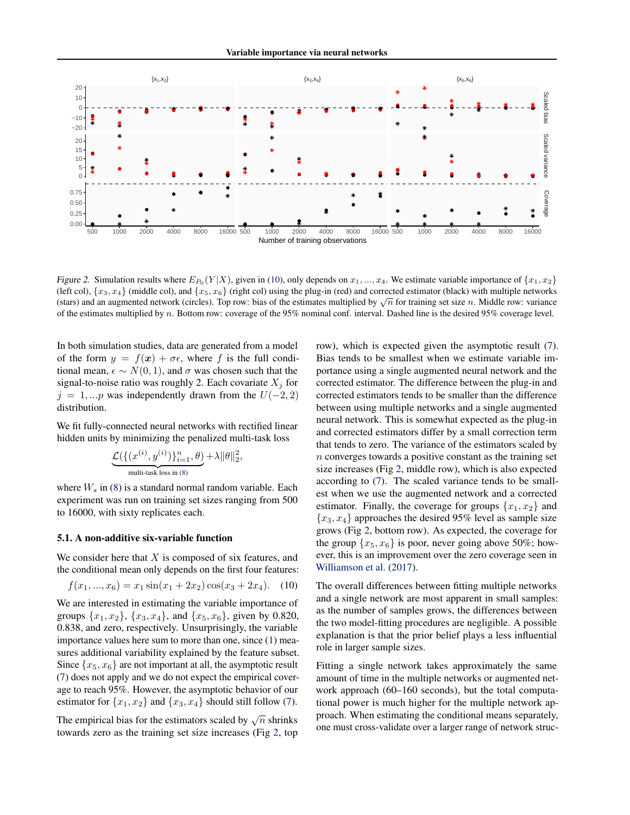

Figure 2. Simulation results where  $E_{P_0}(Y|X)$ , given in (10), only depends on  $x_1, ..., x_4$ . We estimate variable importance of  $\{x_1, x_2\}$ (left col),  $\{x_3, x_4\}$  (middle col), and  $\{x_5, x_6\}$  (right col) using the plug-in (red) and corrected estimator (black) with multiple networks (ien cor),  $\{x_3, x_4\}$  (middle cor), and  $\{x_5, x_6\}$  (right cor) using the plug-in (red) and corrected estimator (black) with multiple networks (stars) and an augmented network (circles). Top row: bias of the estimate of the estimates multiplied by n. Bottom row: coverage of the 95% nominal conf. interval. Dashed line is the desired 95% coverage level.

In both simulation studies, data are generated from a model of the form  $y = f(x) + \sigma \epsilon$ , where f is the full conditional mean,  $\epsilon \sim N(0, 1)$ , and  $\sigma$  was chosen such that the signal-to-noise ratio was roughly 2. Each covariate  $X_i$  for  $j = 1, ...p$  was independently drawn from the  $U(-2, 2)$ distribution.

We fit fully-connected neural networks with rectified linear hidden units by minimizing the penalized multi-task loss

$$
\underbrace{\mathcal{L}(\{(x^{(i)}, y^{(i)})\}_{i=1}^n, \theta)}_{\text{multi-task loss in (8)}} + \lambda \|\theta\|_2^2,
$$

where  $W_s$  in [\(8\)](#page-3-0) is a standard normal random variable. Each experiment was run on training set sizes ranging from 500 to 16000, with sixty replicates each.

### 5.1. A non-additive six-variable function

We consider here that  $X$  is composed of six features, and the conditional mean only depends on the first four features:

$$
f(x_1, ..., x_6) = x_1 \sin(x_1 + 2x_2) \cos(x_3 + 2x_4). \quad (10)
$$

We are interested in estimating the variable importance of groups  $\{x_1, x_2\}$ ,  $\{x_3, x_4\}$ , and  $\{x_5, x_6\}$ , given by 0.820, 0.838, and zero, respectively. Unsurprisingly, the variable importance values here sum to more than one, since [\(1\)](#page-1-0) measures additional variability explained by the feature subset. Since  $\{x_5, x_6\}$  are not important at all, the asymptotic result [\(7\)](#page-2-0) does not apply and we do not expect the empirical coverage to reach 95%. However, the asymptotic behavior of our estimator for  $\{x_1, x_2\}$  and  $\{x_3, x_4\}$  should still follow [\(7\)](#page-2-0).

The empirical bias for the estimators scaled by  $\sqrt{n}$  shrinks towards zero as the training set size increases (Fig 2, top row), which is expected given the asymptotic result [\(7\)](#page-2-0). Bias tends to be smallest when we estimate variable importance using a single augmented neural network and the corrected estimator. The difference between the plug-in and corrected estimators tends to be smaller than the difference between using multiple networks and a single augmented neural network. This is somewhat expected as the plug-in and corrected estimators differ by a small correction term that tends to zero. The variance of the estimators scaled by n converges towards a positive constant as the training set size increases (Fig 2, middle row), which is also expected according to [\(7\)](#page-2-0). The scaled variance tends to be smallest when we use the augmented network and a corrected estimator. Finally, the coverage for groups  $\{x_1, x_2\}$  and  ${x_3, x_4}$  approaches the desired 95% level as sample size grows (Fig 2, bottom row). As expected, the coverage for the group  $\{x_5, x_6\}$  is poor, never going above 50%; however, this is an improvement over the zero coverage seen in [Williamson et al.](#page-9-0) [\(2017\)](#page-9-0).

The overall differences between fitting multiple networks and a single network are most apparent in small samples: as the number of samples grows, the differences between the two model-fitting procedures are negligible. A possible explanation is that the prior belief plays a less influential role in larger sample sizes.

Fitting a single network takes approximately the same amount of time in the multiple networks or augmented network approach (60–160 seconds), but the total computational power is much higher for the multiple network approach. When estimating the conditional means separately, one must cross-validate over a larger range of network struc-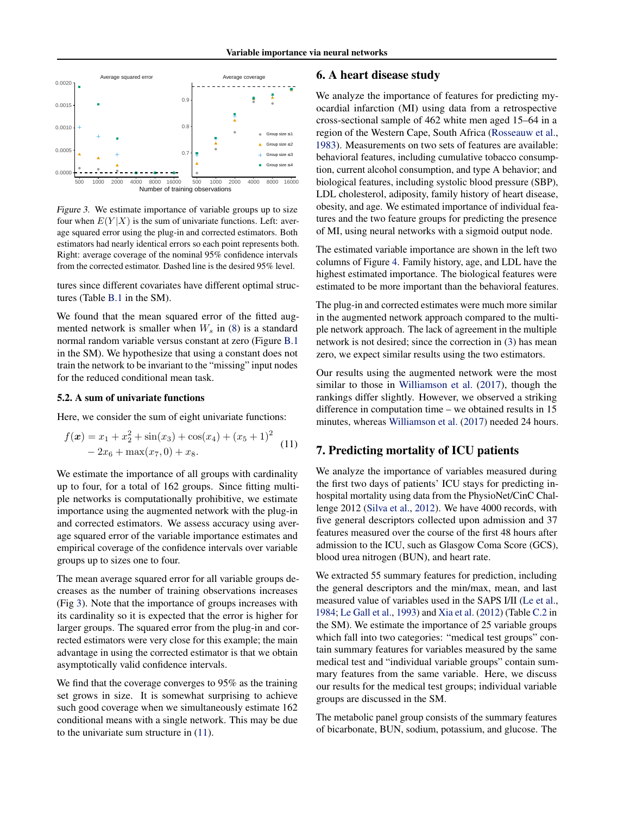

Figure 3. We estimate importance of variable groups up to size four when  $E(Y|X)$  is the sum of univariate functions. Left: average squared error using the plug-in and corrected estimators. Both estimators had nearly identical errors so each point represents both. Right: average coverage of the nominal 95% confidence intervals from the corrected estimator. Dashed line is the desired 95% level.

tures since different covariates have different optimal structures (Table [B.1](#page-0-0) in the SM).

We found that the mean squared error of the fitted augmented network is smaller when  $W_s$  in [\(8\)](#page-3-0) is a standard normal random variable versus constant at zero (Figure [B.1](#page-3-0) in the SM). We hypothesize that using a constant does not train the network to be invariant to the "missing" input nodes for the reduced conditional mean task.

#### 5.2. A sum of univariate functions

Here, we consider the sum of eight univariate functions:

$$
f(\mathbf{x}) = x_1 + x_2^2 + \sin(x_3) + \cos(x_4) + (x_5 + 1)^2
$$
  
- 2x<sub>6</sub> + max(x<sub>7</sub>, 0) + x<sub>8</sub>. (11)

We estimate the importance of all groups with cardinality up to four, for a total of 162 groups. Since fitting multiple networks is computationally prohibitive, we estimate importance using the augmented network with the plug-in and corrected estimators. We assess accuracy using average squared error of the variable importance estimates and empirical coverage of the confidence intervals over variable groups up to sizes one to four.

The mean average squared error for all variable groups decreases as the number of training observations increases (Fig 3). Note that the importance of groups increases with its cardinality so it is expected that the error is higher for larger groups. The squared error from the plug-in and corrected estimators were very close for this example; the main advantage in using the corrected estimator is that we obtain asymptotically valid confidence intervals.

We find that the coverage converges to 95% as the training set grows in size. It is somewhat surprising to achieve such good coverage when we simultaneously estimate 162 conditional means with a single network. This may be due to the univariate sum structure in (11).

# 6. A heart disease study

We analyze the importance of features for predicting myocardial infarction (MI) using data from a retrospective cross-sectional sample of 462 white men aged 15–64 in a region of the Western Cape, South Africa [\(Rosseauw et al.,](#page-9-0) [1983\)](#page-9-0). Measurements on two sets of features are available: behavioral features, including cumulative tobacco consumption, current alcohol consumption, and type A behavior; and biological features, including systolic blood pressure (SBP), LDL cholesterol, adiposity, family history of heart disease, obesity, and age. We estimated importance of individual features and the two feature groups for predicting the presence of MI, using neural networks with a sigmoid output node.

The estimated variable importance are shown in the left two columns of Figure [4.](#page-7-0) Family history, age, and LDL have the highest estimated importance. The biological features were estimated to be more important than the behavioral features.

The plug-in and corrected estimates were much more similar in the augmented network approach compared to the multiple network approach. The lack of agreement in the multiple network is not desired; since the correction in [\(3\)](#page-2-0) has mean zero, we expect similar results using the two estimators.

Our results using the augmented network were the most similar to those in [Williamson et al.](#page-9-0) [\(2017\)](#page-9-0), though the rankings differ slightly. However, we observed a striking difference in computation time – we obtained results in 15 minutes, whereas [Williamson et al.](#page-9-0) [\(2017\)](#page-9-0) needed 24 hours.

# 7. Predicting mortality of ICU patients

We analyze the importance of variables measured during the first two days of patients' ICU stays for predicting inhospital mortality using data from the PhysioNet/CinC Challenge 2012 [\(Silva et al.,](#page-9-0) [2012\)](#page-9-0). We have 4000 records, with five general descriptors collected upon admission and 37 features measured over the course of the first 48 hours after admission to the ICU, such as Glasgow Coma Score (GCS), blood urea nitrogen (BUN), and heart rate.

We extracted 55 summary features for prediction, including the general descriptors and the min/max, mean, and last measured value of variables used in the SAPS I/II [\(Le et al.,](#page-8-0) [1984;](#page-8-0) [Le Gall et al.,](#page-8-0) [1993\)](#page-8-0) and [Xia et al.](#page-9-0) [\(2012\)](#page-9-0) (Table [C.2](#page-0-0) in the SM). We estimate the importance of 25 variable groups which fall into two categories: "medical test groups" contain summary features for variables measured by the same medical test and "individual variable groups" contain summary features from the same variable. Here, we discuss our results for the medical test groups; individual variable groups are discussed in the SM.

The metabolic panel group consists of the summary features of bicarbonate, BUN, sodium, potassium, and glucose. The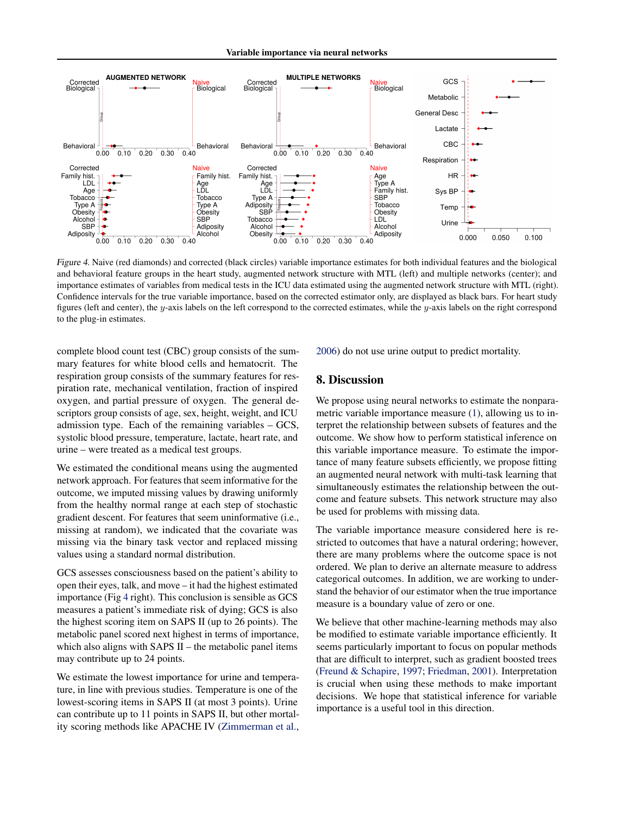Variable importance via neural networks

<span id="page-7-0"></span>

Figure 4. Naive (red diamonds) and corrected (black circles) variable importance estimates for both individual features and the biological and behavioral feature groups in the heart study, augmented network structure with MTL (left) and multiple networks (center); and importance estimates of variables from medical tests in the ICU data estimated using the augmented network structure with MTL (right). Confidence intervals for the true variable importance, based on the corrected estimator only, are displayed as black bars. For heart study figures (left and center), the y-axis labels on the left correspond to the corrected estimates, while the y-axis labels on the right correspond to the plug-in estimates.

complete blood count test (CBC) group consists of the summary features for white blood cells and hematocrit. The respiration group consists of the summary features for respiration rate, mechanical ventilation, fraction of inspired oxygen, and partial pressure of oxygen. The general descriptors group consists of age, sex, height, weight, and ICU admission type. Each of the remaining variables – GCS, systolic blood pressure, temperature, lactate, heart rate, and urine – were treated as a medical test groups.

We estimated the conditional means using the augmented network approach. For features that seem informative for the outcome, we imputed missing values by drawing uniformly from the healthy normal range at each step of stochastic gradient descent. For features that seem uninformative (i.e., missing at random), we indicated that the covariate was missing via the binary task vector and replaced missing values using a standard normal distribution.

GCS assesses consciousness based on the patient's ability to open their eyes, talk, and move – it had the highest estimated importance (Fig 4 right). This conclusion is sensible as GCS measures a patient's immediate risk of dying; GCS is also the highest scoring item on SAPS II (up to 26 points). The metabolic panel scored next highest in terms of importance, which also aligns with SAPS II – the metabolic panel items may contribute up to 24 points.

We estimate the lowest importance for urine and temperature, in line with previous studies. Temperature is one of the lowest-scoring items in SAPS II (at most 3 points). Urine can contribute up to 11 points in SAPS II, but other mortality scoring methods like APACHE IV [\(Zimmerman et al.,](#page-9-0) [2006\)](#page-9-0) do not use urine output to predict mortality.

# 8. Discussion

We propose using neural networks to estimate the nonparametric variable importance measure [\(1\)](#page-1-0), allowing us to interpret the relationship between subsets of features and the outcome. We show how to perform statistical inference on this variable importance measure. To estimate the importance of many feature subsets efficiently, we propose fitting an augmented neural network with multi-task learning that simultaneously estimates the relationship between the outcome and feature subsets. This network structure may also be used for problems with missing data.

The variable importance measure considered here is restricted to outcomes that have a natural ordering; however, there are many problems where the outcome space is not ordered. We plan to derive an alternate measure to address categorical outcomes. In addition, we are working to understand the behavior of our estimator when the true importance measure is a boundary value of zero or one.

We believe that other machine-learning methods may also be modified to estimate variable importance efficiently. It seems particularly important to focus on popular methods that are difficult to interpret, such as gradient boosted trees [\(Freund & Schapire,](#page-8-0) [1997;](#page-8-0) [Friedman,](#page-8-0) [2001\)](#page-8-0). Interpretation is crucial when using these methods to make important decisions. We hope that statistical inference for variable importance is a useful tool in this direction.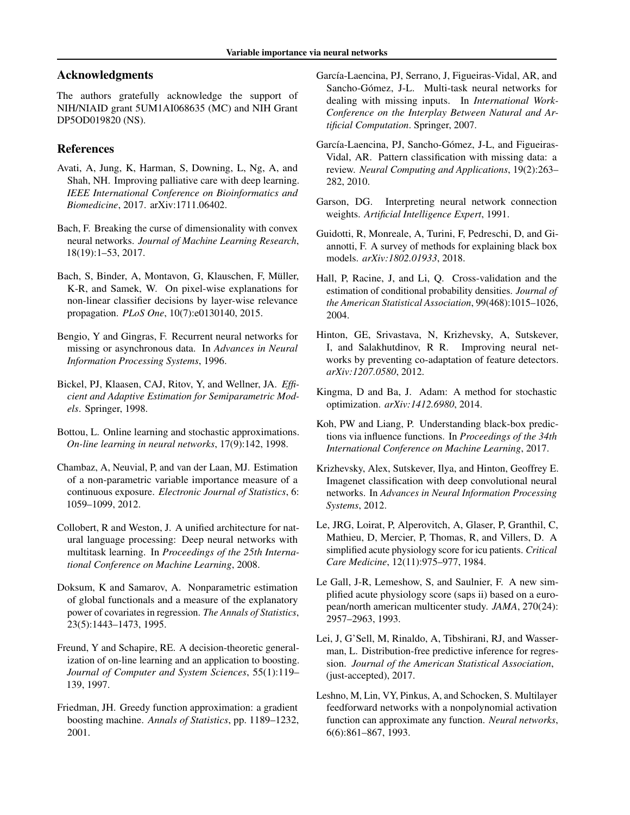# <span id="page-8-0"></span>Acknowledgments

The authors gratefully acknowledge the support of NIH/NIAID grant 5UM1AI068635 (MC) and NIH Grant DP5OD019820 (NS).

# References

- Avati, A, Jung, K, Harman, S, Downing, L, Ng, A, and Shah, NH. Improving palliative care with deep learning. *IEEE International Conference on Bioinformatics and Biomedicine*, 2017. arXiv:1711.06402.
- Bach, F. Breaking the curse of dimensionality with convex neural networks. *Journal of Machine Learning Research*, 18(19):1–53, 2017.
- Bach, S, Binder, A, Montavon, G, Klauschen, F, Müller, K-R, and Samek, W. On pixel-wise explanations for non-linear classifier decisions by layer-wise relevance propagation. *PLoS One*, 10(7):e0130140, 2015.
- Bengio, Y and Gingras, F. Recurrent neural networks for missing or asynchronous data. In *Advances in Neural Information Processing Systems*, 1996.
- Bickel, PJ, Klaasen, CAJ, Ritov, Y, and Wellner, JA. *Efficient and Adaptive Estimation for Semiparametric Models*. Springer, 1998.
- Bottou, L. Online learning and stochastic approximations. *On-line learning in neural networks*, 17(9):142, 1998.
- Chambaz, A, Neuvial, P, and van der Laan, MJ. Estimation of a non-parametric variable importance measure of a continuous exposure. *Electronic Journal of Statistics*, 6: 1059–1099, 2012.
- Collobert, R and Weston, J. A unified architecture for natural language processing: Deep neural networks with multitask learning. In *Proceedings of the 25th International Conference on Machine Learning*, 2008.
- Doksum, K and Samarov, A. Nonparametric estimation of global functionals and a measure of the explanatory power of covariates in regression. *The Annals of Statistics*, 23(5):1443–1473, 1995.
- Freund, Y and Schapire, RE. A decision-theoretic generalization of on-line learning and an application to boosting. *Journal of Computer and System Sciences*, 55(1):119– 139, 1997.
- Friedman, JH. Greedy function approximation: a gradient boosting machine. *Annals of Statistics*, pp. 1189–1232, 2001.
- García-Laencina, PJ, Serrano, J, Figueiras-Vidal, AR, and Sancho-Gómez, J-L. Multi-task neural networks for dealing with missing inputs. In *International Work-Conference on the Interplay Between Natural and Artificial Computation*. Springer, 2007.
- García-Laencina, PJ, Sancho-Gómez, J-L, and Figueiras-Vidal, AR. Pattern classification with missing data: a review. *Neural Computing and Applications*, 19(2):263– 282, 2010.
- Garson, DG. Interpreting neural network connection weights. *Artificial Intelligence Expert*, 1991.
- Guidotti, R, Monreale, A, Turini, F, Pedreschi, D, and Giannotti, F. A survey of methods for explaining black box models. *arXiv:1802.01933*, 2018.
- Hall, P, Racine, J, and Li, Q. Cross-validation and the estimation of conditional probability densities. *Journal of the American Statistical Association*, 99(468):1015–1026, 2004.
- Hinton, GE, Srivastava, N, Krizhevsky, A, Sutskever, I, and Salakhutdinov, R R. Improving neural networks by preventing co-adaptation of feature detectors. *arXiv:1207.0580*, 2012.
- Kingma, D and Ba, J. Adam: A method for stochastic optimization. *arXiv:1412.6980*, 2014.
- Koh, PW and Liang, P. Understanding black-box predictions via influence functions. In *Proceedings of the 34th International Conference on Machine Learning*, 2017.
- Krizhevsky, Alex, Sutskever, Ilya, and Hinton, Geoffrey E. Imagenet classification with deep convolutional neural networks. In *Advances in Neural Information Processing Systems*, 2012.
- Le, JRG, Loirat, P, Alperovitch, A, Glaser, P, Granthil, C, Mathieu, D, Mercier, P, Thomas, R, and Villers, D. A simplified acute physiology score for icu patients. *Critical Care Medicine*, 12(11):975–977, 1984.
- Le Gall, J-R, Lemeshow, S, and Saulnier, F. A new simplified acute physiology score (saps ii) based on a european/north american multicenter study. *JAMA*, 270(24): 2957–2963, 1993.
- Lei, J, G'Sell, M, Rinaldo, A, Tibshirani, RJ, and Wasserman, L. Distribution-free predictive inference for regression. *Journal of the American Statistical Association*, (just-accepted), 2017.
- Leshno, M, Lin, VY, Pinkus, A, and Schocken, S. Multilayer feedforward networks with a nonpolynomial activation function can approximate any function. *Neural networks*, 6(6):861–867, 1993.